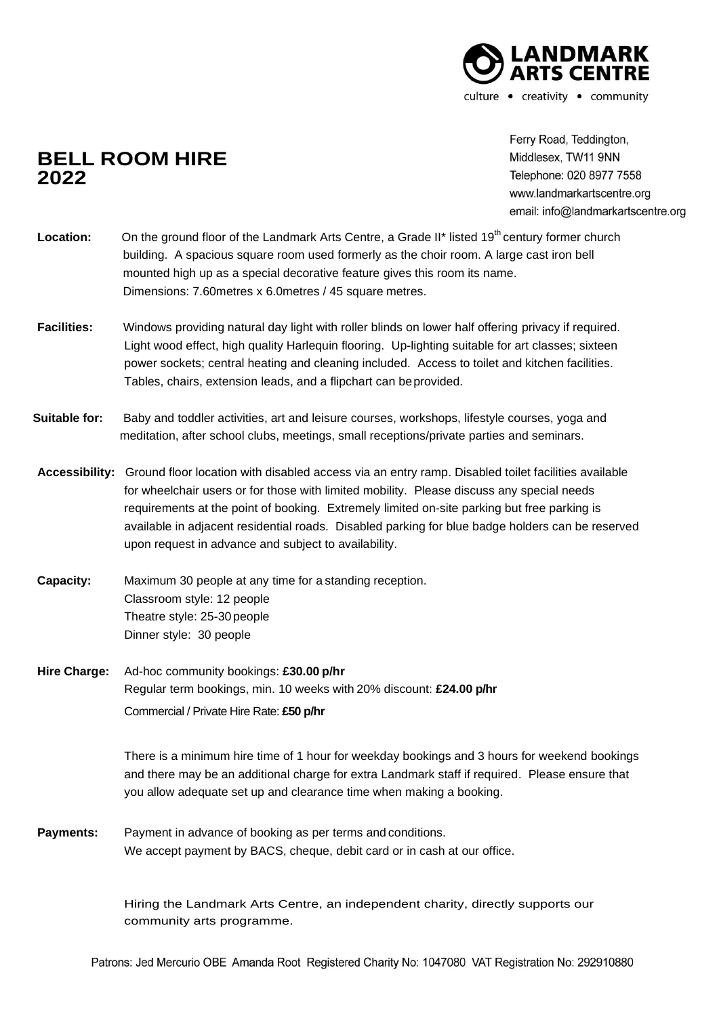

## **BELL ROOM HIRE 2022**

Ferry Road. Teddington. Middlesex, TW11 9NN Telephone: 020 8977 7558 www.landmarkartscentre.org email: info@landmarkartscentre.org

| <b>Location:</b> | On the ground floor of the Landmark Arts Centre, a Grade II* listed 19 <sup>th</sup> century former church |
|------------------|------------------------------------------------------------------------------------------------------------|
|                  | building. A spacious square room used formerly as the choir room. A large cast iron bell                   |
|                  | mounted high up as a special decorative feature gives this room its name.                                  |
|                  | Dimensions: 7.60 metres x 6.0 metres / 45 square metres.                                                   |

- **Facilities:** Windows providing natural day light with roller blinds on lower half offering privacy if required. Light wood effect, high quality Harlequin flooring. Up-lighting suitable for art classes; sixteen power sockets; central heating and cleaning included. Access to toilet and kitchen facilities. Tables, chairs, extension leads, and a flipchart can beprovided.
- **Suitable for:** Baby and toddler activities, art and leisure courses, workshops, lifestyle courses, yoga and meditation, after school clubs, meetings, small receptions/private parties and seminars.
- **Accessibility:** Ground floor location with disabled access via an entry ramp. Disabled toilet facilities available for wheelchair users or for those with limited mobility. Please discuss any special needs requirements at the point of booking. Extremely limited on-site parking but free parking is available in adjacent residential roads. Disabled parking for blue badge holders can be reserved upon request in advance and subject to availability.
- **Capacity:** Maximum 30 people at any time for a standing reception. Classroom style: 12 people Theatre style: 25-30 people Dinner style: 30 people
- **Hire Charge:** Ad-hoc community bookings: **£30.00 p/hr** Regular term bookings, min. 10 weeks with 20% discount: **£24.00 p/hr** Commercial / Private Hire Rate: **£50 p/hr**

There is a minimum hire time of 1 hour for weekday bookings and 3 hours for weekend bookings and there may be an additional charge for extra Landmark staff if required. Please ensure that you allow adequate set up and clearance time when making a booking.

**Payments:** Payment in advance of booking as per terms and conditions. We accept payment by BACS, cheque, debit card or in cash at our office.

> Hiring the Landmark Arts Centre, an independent charity, directly supports our community arts programme.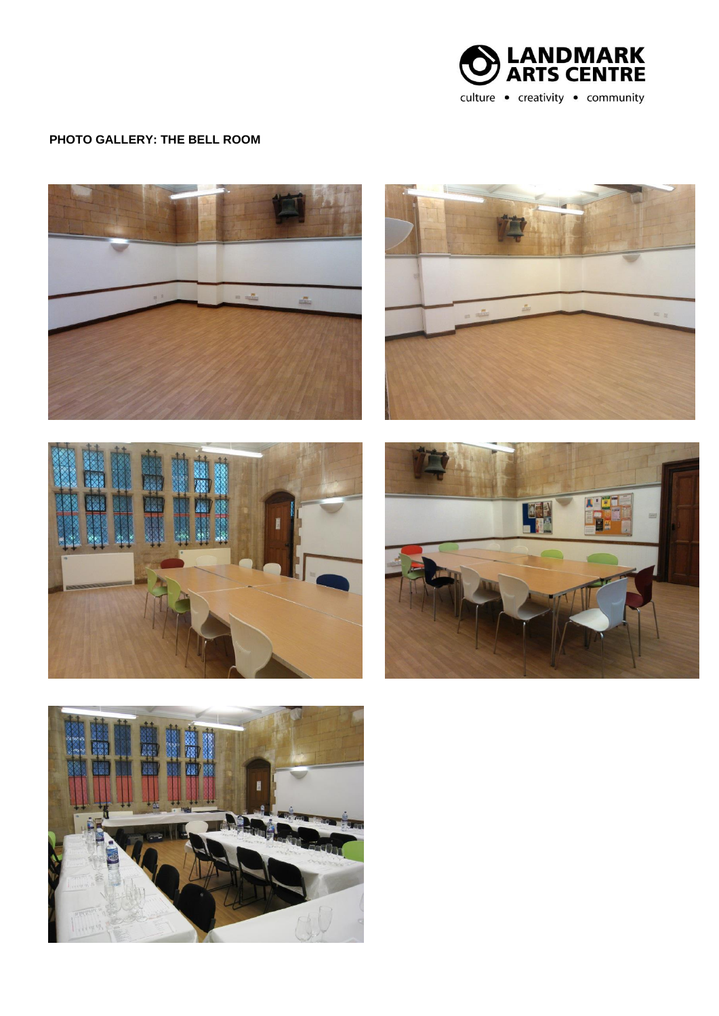

## **PHOTO GALLERY: THE BELL ROOM**